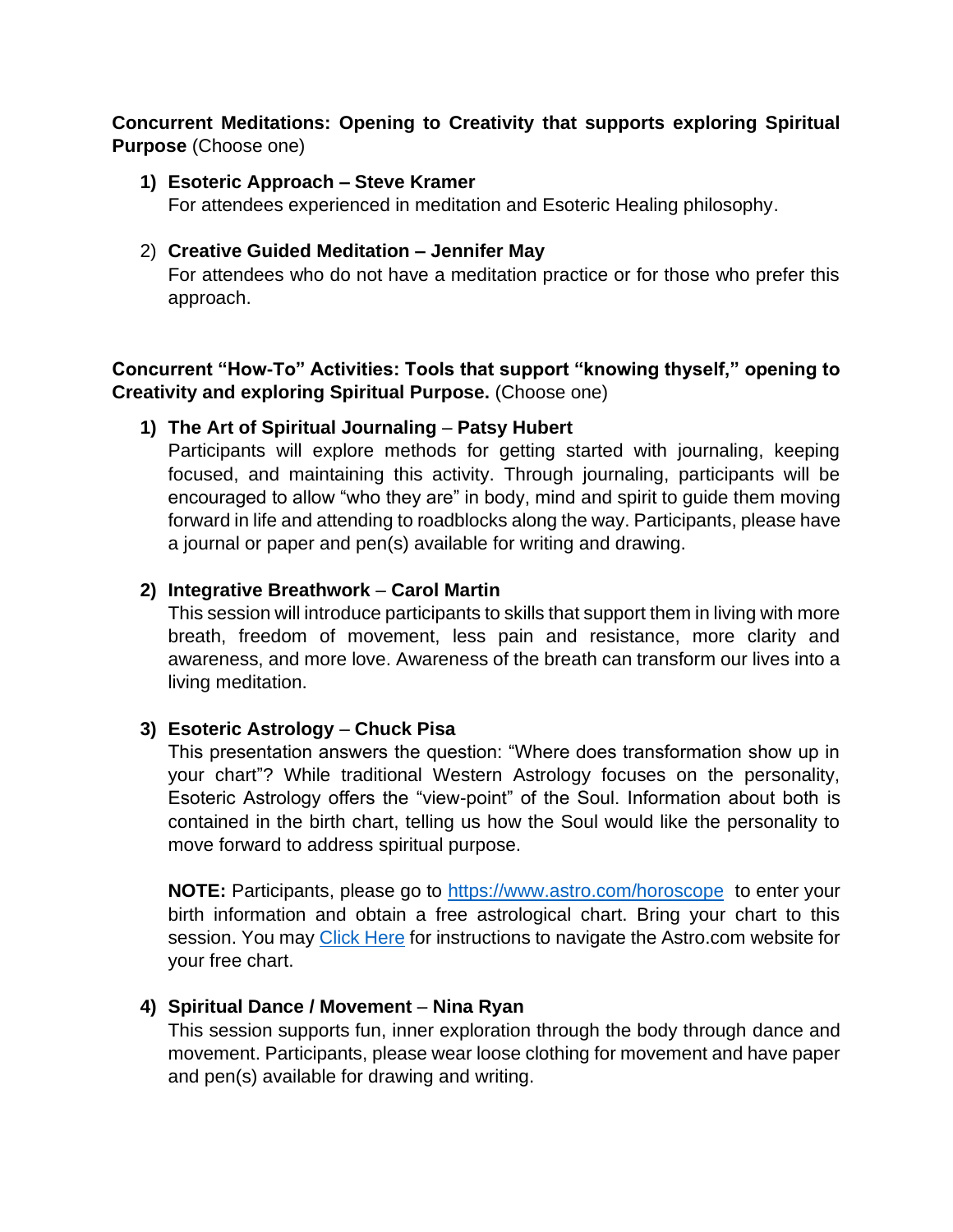# **Concurrent Meditations: Opening to Creativity that supports exploring Spiritual Purpose** (Choose one)

#### **1) Esoteric Approach – Steve Kramer**

For attendees experienced in meditation and Esoteric Healing philosophy.

### 2) **Creative Guided Meditation – Jennifer May**

For attendees who do not have a meditation practice or for those who prefer this approach.

# **Concurrent "How-To" Activities: Tools that support "knowing thyself," opening to Creativity and exploring Spiritual Purpose.** (Choose one)

## **1) The Art of Spiritual Journaling** – **Patsy Hubert**

Participants will explore methods for getting started with journaling, keeping focused, and maintaining this activity. Through journaling, participants will be encouraged to allow "who they are" in body, mind and spirit to guide them moving forward in life and attending to roadblocks along the way. Participants, please have a journal or paper and pen(s) available for writing and drawing.

## **2) Integrative Breathwork** – **Carol Martin**

This session will introduce participants to skills that support them in living with more breath, freedom of movement, less pain and resistance, more clarity and awareness, and more love. Awareness of the breath can transform our lives into a living meditation.

# **3) Esoteric Astrology** – **Chuck Pisa**

This presentation answers the question: "Where does transformation show up in your chart"? While traditional Western Astrology focuses on the personality, Esoteric Astrology offers the "view-point" of the Soul. Information about both is contained in the birth chart, telling us how the Soul would like the personality to move forward to address spiritual purpose.

**NOTE:** Participants, please go to<https://www.astro.com/horoscope> to enter your birth information and obtain a free astrological chart. Bring your chart to this session. You may [Click Here](#page-1-0) for instructions to navigate the Astro.com website for your free chart.

# **4) Spiritual Dance / Movement** – **Nina Ryan**

This session supports fun, inner exploration through the body through dance and movement. Participants, please wear loose clothing for movement and have paper and pen(s) available for drawing and writing.